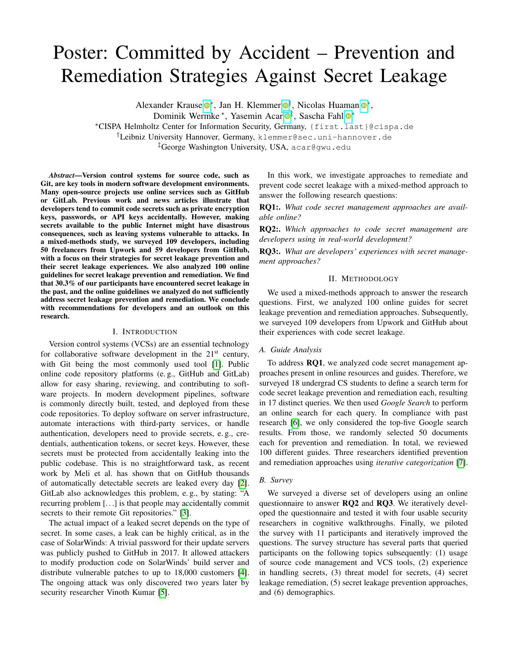# Poster: Committed by Accident – Prevention and Remediation Strategies Against Secret Leakage

Alexander Krause <sup>®\*</sup>, Jan H. Klemmer <sup>®[†](https://orcid.org/0000-0002-6994-7206)</sup>, Nicolas Huaman <sup>®\*</sup>,

Dominik Wermke \*, Yasemin Acar <sup>®[‡](https://orcid.org/0000-0001-7167-7383)</sup>, Sascha Fahl <sup>®</sup>\*

<sup>∗</sup>CISPA Helmholtz Center for Information Security, Germany, {first.last}@cispa.de

†Leibniz University Hannover, Germany, klemmer@sec.uni-hannover.de

‡George Washington University, USA, acar@gwu.edu

*Abstract*—Version control systems for source code, such as Git, are key tools in modern software development environments. Many open-source projects use online services such as GitHub or GitLab. Previous work and news articles illustrate that developers tend to commit code secrets such as private encryption keys, passwords, or API keys accidentally. However, making secrets available to the public Internet might have disastrous consequences, such as leaving systems vulnerable to attacks. In a mixed-methods study, we surveyed 109 developers, including 50 freelancers from Upwork and 59 developers from GitHub, with a focus on their strategies for secret leakage prevention and their secret leakage experiences. We also analyzed 100 online guidelines for secret leakage prevention and remediation. We find that 30.3% of our participants have encountered secret leakage in the past, and the online guidelines we analyzed do not sufficiently address secret leakage prevention and remediation. We conclude with recommendations for developers and an outlook on this research.

#### I. INTRODUCTION

Version control systems (VCSs) are an essential technology for collaborative software development in the  $21<sup>st</sup>$  century, with Git being the most commonly used tool [\[1\]](#page-1-0). Public online code repository platforms (e. g., GitHub and GitLab) allow for easy sharing, reviewing, and contributing to software projects. In modern development pipelines, software is commonly directly built, tested, and deployed from these code repositories. To deploy software on server infrastructure, automate interactions with third-party services, or handle authentication, developers need to provide secrets, e. g., credentials, authentication tokens, or secret keys. However, these secrets must be protected from accidentally leaking into the public codebase. This is no straightforward task, as recent work by Meli et al. has shown that on GitHub thousands of automatically detectable secrets are leaked every day [\[2\]](#page-1-1). GitLab also acknowledges this problem, e. g., by stating: "A recurring problem [. . .] is that people may accidentally commit secrets to their remote Git repositories." [\[3\]](#page-1-2).

The actual impact of a leaked secret depends on the type of secret. In some cases, a leak can be highly critical, as in the case of SolarWinds: A trivial password for their update servers was publicly pushed to GitHub in 2017. It allowed attackers to modify production code on SolarWinds' build server and distribute vulnerable patches to up to 18,000 customers [\[4\]](#page-1-3). The ongoing attack was only discovered two years later by security researcher Vinoth Kumar [\[5\]](#page-1-4).

In this work, we investigate approaches to remediate and prevent code secret leakage with a mixed-method approach to answer the following research questions:

RQ1:. *What code secret management approaches are available online?*

RQ2:. *Which approaches to code secret management are developers using in real-world development?*

RQ3:. *What are developers' experiences with secret management approaches?*

#### II. METHODOLOGY

We used a mixed-methods approach to answer the research questions. First, we analyzed 100 online guides for secret leakage prevention and remediation approaches. Subsequently, we surveyed 109 developers from Upwork and GitHub about their experiences with code secret leakage.

#### *A. Guide Analysis*

To address RQ1, we analyzed code secret management approaches present in online resources and guides. Therefore, we surveyed 18 undergrad CS students to define a search term for code secret leakage prevention and remediation each, resulting in 17 distinct queries. We then used *Google Search* to perform an online search for each query. In compliance with past research [\[6\]](#page-1-5), we only considered the top-five Google search results. From those, we randomly selected 50 documents each for prevention and remediation. In total, we reviewed 100 different guides. Three researchers identified prevention and remediation approaches using *iterative categorization* [\[7\]](#page-1-6).

#### *B. Survey*

We surveyed a diverse set of developers using an online questionnaire to answer RQ2 and RQ3. We iteratively developed the questionnaire and tested it with four usable security researchers in cognitive walkthroughs. Finally, we piloted the survey with 11 participants and iteratively improved the questions. The survey structure has several parts that queried participants on the following topics subsequently: (1) usage of source code management and VCS tools, (2) experience in handling secrets, (3) threat model for secrets, (4) secret leakage remediation, (5) secret leakage prevention approaches, and (6) demographics.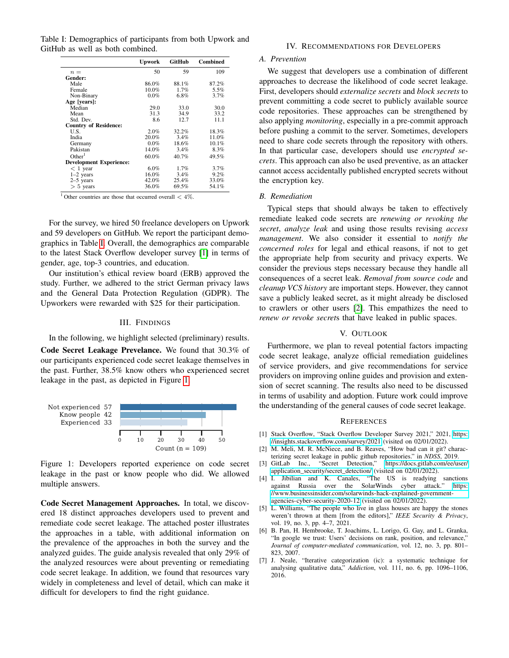<span id="page-1-7"></span>Table I: Demographics of participants from both Upwork and GitHub as well as both combined.

|                                | <b>Upwork</b> | <b>GitHub</b> | <b>Combined</b> |
|--------------------------------|---------------|---------------|-----------------|
| $n =$                          | 50            | 59            | 109             |
| Gender:                        |               |               |                 |
| Male                           | 86.0%         | 88.1%         | 87.2%           |
| Female                         | $10.0\%$      | 1.7%          | 5.5%            |
| Non-Binary                     | $0.0\%$       | $6.8\%$       | 3.7%            |
| Age [years]:                   |               |               |                 |
| Median                         | 29.0          | 33.0          | 30.0            |
| Mean                           | 31.3          | 34.9          | 33.2            |
| Std. Dev.                      | 8.6           | 12.7          | 11.1            |
| <b>Country of Residence:</b>   |               |               |                 |
| U.S.                           | 2.0%          | 32.2%         | 18.3%           |
| India                          | 20.0%         | 3.4%          | 11.0%           |
| Germany                        | $0.0\%$       | 18.6%         | 10.1%           |
| Pakistan                       | 14.0%         | 3.4%          | 8.3%            |
| Other <sup>1</sup>             | $60.0\%$      | 40.7%         | 49.5%           |
| <b>Development Experience:</b> |               |               |                 |
| $<$ 1 year                     | $6.0\%$       | 1.7%          | 3.7%            |
| $1-2$ years                    | 16.0%         | 3.4%          | 9.2%            |
| $2-5$ years                    | 42.0%         | 25.4%         | 33.0%           |
| $> 5$ years                    | 36.0%         | 69.5%         | 54.1%           |

 $\frac{1}{1}$  Other countries are those that occurred overall  $\lt$  4%.

For the survey, we hired 50 freelance developers on Upwork and 59 developers on GitHub. We report the participant demographics in Table [I.](#page-1-7) Overall, the demographics are comparable to the latest Stack Overflow developer survey [\[1\]](#page-1-0) in terms of gender, age, top-3 countries, and education.

Our institution's ethical review board (ERB) approved the study. Further, we adhered to the strict German privacy laws and the General Data Protection Regulation (GDPR). The Upworkers were rewarded with \$25 for their participation.

#### III. FINDINGS

In the following, we highlight selected (preliminary) results.

Code Secret Leakage Prevelance. We found that 30.3% of our participants experienced code secret leakage themselves in the past. Further, 38.5% know others who experienced secret leakage in the past, as depicted in Figure [1.](#page-1-8)

<span id="page-1-8"></span>

Figure 1: Developers reported experience on code secret leakage in the past or know people who did. We allowed multiple answers.

Code Secret Management Approaches. In total, we discovered 18 distinct approaches developers used to prevent and remediate code secret leakage. The attached poster illustrates the approaches in a table, with additional information on the prevalence of the approaches in both the survey and the analyzed guides. The guide analysis revealed that only 29% of the analyzed resources were about preventing or remediating code secret leakage. In addition, we found that resources vary widely in completeness and level of detail, which can make it difficult for developers to find the right guidance.

#### IV. RECOMMENDATIONS FOR DEVELOPERS

#### *A. Prevention*

We suggest that developers use a combination of different approaches to decrease the likelihood of code secret leakage. First, developers should *externalize secrets* and *block secrets* to prevent committing a code secret to publicly available source code repositories. These approaches can be strengthened by also applying *monitoring*, especially in a pre-commit approach before pushing a commit to the server. Sometimes, developers need to share code secrets through the repository with others. In that particular case, developers should use *encrypted secrets*. This approach can also be used preventive, as an attacker cannot access accidentally published encrypted secrets without the encryption key.

#### *B. Remediation*

Typical steps that should always be taken to effectively remediate leaked code secrets are *renewing or revoking the secret*, *analyze leak* and using those results revising *access management*. We also consider it essential to *notify the concerned roles* for legal and ethical reasons, if not to get the appropriate help from security and privacy experts. We consider the previous steps necessary because they handle all consequences of a secret leak. *Removal from source code* and *cleanup VCS history* are important steps. However, they cannot save a publicly leaked secret, as it might already be disclosed to crawlers or other users [\[2\]](#page-1-1). This empathizes the need to *renew or revoke secret*s that have leaked in public spaces.

#### V. OUTLOOK

Furthermore, we plan to reveal potential factors impacting code secret leakage, analyze official remediation guidelines of service providers, and give recommendations for service providers on improving online guides and provision and extension of secret scanning. The results also need to be discussed in terms of usability and adoption. Future work could improve the understanding of the general causes of code secret leakage.

#### **REFERENCES**

- <span id="page-1-0"></span>[1] Stack Overflow, "Stack Overflow Developer Survey 2021," 2021, [https:](https://insights.stackoverflow.com/survey/2021) [//insights.stackoverflow.com/survey/2021](https://insights.stackoverflow.com/survey/2021) (visited on 02/01/2022).
- <span id="page-1-1"></span>[2] M. Meli, M. R. McNiece, and B. Reaves, "How bad can it git? characterizing secret leakage in public github repositories." in *NDSS*, 2019.
- <span id="page-1-2"></span>[3] GitLab Inc., "Secret Detection," [https://docs.gitlab.com/ee/user/](https://docs.gitlab.com/ee/user/application_security/secret_detection/) [application\\_security/secret\\_detection/](https://docs.gitlab.com/ee/user/application_security/secret_detection/) (visited on 02/01/2022).
- <span id="page-1-3"></span>[4] I. Jibilian and K. Canales, "The US is readying sanctions against Russia over the SolarWinds cyber attack." [https:](https://www.businessinsider.com/solarwinds-hack-explained-government-agencies-cyber-security-2020-12) [//www.businessinsider.com/solarwinds-hack-explained-government](https://www.businessinsider.com/solarwinds-hack-explained-government-agencies-cyber-security-2020-12)[agencies-cyber-security-2020-12](https://www.businessinsider.com/solarwinds-hack-explained-government-agencies-cyber-security-2020-12) (visited on 02/01/2022).
- <span id="page-1-4"></span>[5] L. Williams, "The people who live in glass houses are happy the stones weren't thrown at them [from the editors]," *IEEE Security & Privacy*, vol. 19, no. 3, pp. 4–7, 2021.
- <span id="page-1-5"></span>[6] B. Pan, H. Hembrooke, T. Joachims, L. Lorigo, G. Gay, and L. Granka, "In google we trust: Users' decisions on rank, position, and relevance," *Journal of computer-mediated communication*, vol. 12, no. 3, pp. 801– 823, 2007.
- <span id="page-1-6"></span>[7] J. Neale, "Iterative categorization (ic): a systematic technique for analysing qualitative data," *Addiction*, vol. 111, no. 6, pp. 1096–1106, 2016.